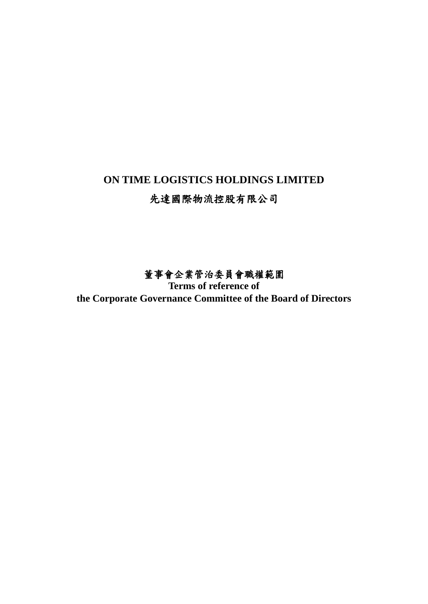# **ON TIME LOGISTICS HOLDINGS LIMITED** 先達國際物流控股有限公司

## 董事會企業管治委員會職權範圍

**Terms of reference of the Corporate Governance Committee of the Board of Directors**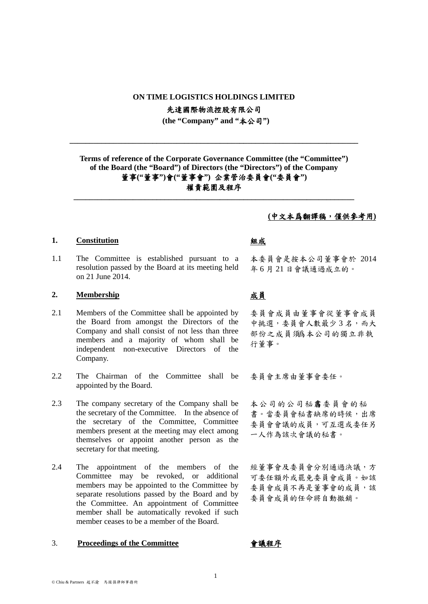### **ON TIME LOGISTICS HOLDINGS LIMITED**

先達國際物流控股有限公司

**(the "Company" and "**本公司**")**

**\_\_\_\_\_\_\_\_\_\_\_\_\_\_\_\_\_\_\_\_\_\_\_\_\_\_\_\_\_\_\_\_\_\_\_\_\_\_\_\_\_\_\_\_\_\_\_\_\_\_\_\_\_\_\_\_\_\_\_\_\_\_\_\_\_\_\_\_\_\_\_\_\_**

### **Terms of reference of the Corporate Governance Committee (the "Committee") of the Board (the "Board") of Directors (the "Directors") of the Company** 董事**("**董事**")**會**("**董事會**")** 企業管治委員會**("**委員會**")** 權責範圍及程序

**\_\_\_\_\_\_\_\_\_\_\_\_\_\_\_\_\_\_\_\_\_\_\_\_\_\_\_\_\_\_\_\_\_\_\_\_\_\_\_\_\_\_\_\_\_\_\_\_\_\_\_\_\_\_\_\_\_\_\_\_\_\_\_\_\_\_\_\_\_\_\_**

### **1. Constitution** 組成

1.1 The Committee is established pursuant to a resolution passed by the Board at its meeting held on 21 June 2014.

### 2. **Membership** 成員

- 2.1 Members of the Committee shall be appointed by the Board from amongst the Directors of the Company and shall consist of not less than three members and a majority of whom shall be independent non-executive Directors of the Company.
- 2.2 The Chairman of the Committee shall be appointed by the Board.
- 2.3 The company secretary of the Company shall be the secretary of the Committee. In the absence of the secretary of the Committee, Committee members present at the meeting may elect among themselves or appoint another person as the secretary for that meeting.
- 2.4 The appointment of the members of the Committee may be revoked, or additional members may be appointed to the Committee by separate resolutions passed by the Board and by the Committee. An appointment of Committee member shall be automatically revoked if such member ceases to be a member of the Board.

### 3. **Proceedings of the Committee** 會議程序

### **(**中文本爲翻譯稿,僅供參考用**)**

本委員會是按本公司董事會於 2014 年 6 月 21 日會議通過成立的。

委員會成員由董事會從董事會成員 中挑選,委員會人數最少3名,而大 部份之成員須爲本公司的獨立非執 行董事。

委員會主席由董事會委任。

本公司的公司秘書委員會的秘 書。當委員會秘書缺席的時候,出席 委員會會議的成員,可互選或委任另 一人作為該次會議的秘書。

經董事會及委員會分別通過決議,方 可委任額外或罷免委員會成員。如該 委員會成員不再是董事會的成員,該 委員會成員的任命將自動撤銷。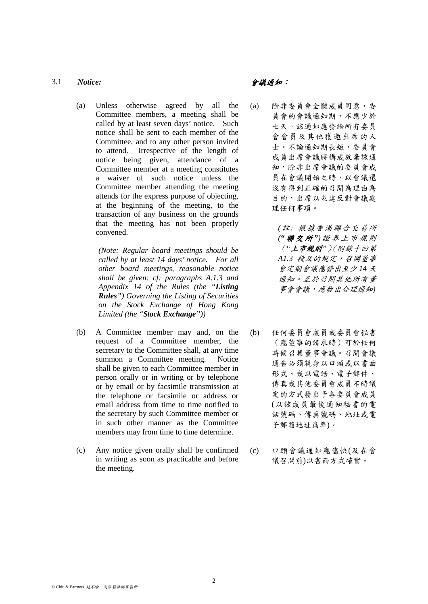### 3.1 *Notice:* 會議通知:

(a) Unless otherwise agreed by all the Committee members, a meeting shall be called by at least seven days' notice. Such notice shall be sent to each member of the Committee, and to any other person invited to attend. Irrespective of the length of notice being given, attendance of a Committee member at a meeting constitutes a waiver of such notice unless the Committee member attending the meeting attends for the express purpose of objecting, at the beginning of the meeting, to the transaction of any business on the grounds that the meeting has not been properly convened.

> *(Note: Regular board meetings should be called by at least 14 days' notice. For all other board meetings, reasonable notice shall be given: cf: paragraphs A.1.3 and Appendix 14 of the Rules (the "Listing Rules") Governing the Listing of Securities on the Stock Exchange of Hong Kong Limited (the "Stock Exchange"))*

- (b) A Committee member may and, on the request of a Committee member, the secretary to the Committee shall, at any time summon a Committee meeting. Notice shall be given to each Committee member in person orally or in writing or by telephone or by email or by facsimile transmission at the telephone or facsimile or address or email address from time to time notified to the secretary by such Committee member or in such other manner as the Committee members may from time to time determine.
- (c) Any notice given orally shall be confirmed in writing as soon as practicable and before the meeting.

- (a) 除非委員會全體成員同意,委 員會的會議通知期,不應少於 七天。該通知應發給所有委員 會會員及其他獲邀出席的人 士。不論通知期長短,委員會 成員出席會議將構成放棄該通 知,除非出席會議的委員會成 員在會議開始之時,以會議還 沒有得到正確的召開為理由為 目的,出席以表達反對會議處 理任何事項。
	- *(*註*:* 根據香港聯合交易所 *("* 聯交所 *")*證 券 上巿規則 (*"*上巿規則*"*)(附錄十四第 *A1.3* 段及的規定,召開董事 會定期會議應發出至少 *14* 天 通知。至於召開其他所有董 事會會議,應發出合理通知*)*
- (b) 任何委員會成員或委員會秘書 (應董事的請求時)可於任何 時候召集董事會議。召開會議 通告必須親身以口頭或以書面 形式、或以電話、電子郵件、 傳真或其他委員會成員不時議 定的方式發出予各委員會成員 (以該成員最後通知秘書的電 話號碼、傳真號碼、地址或電 子郵箱地址爲準)。
- (c) 口頭會議通知應儘快(及在會 議召開前)以書面方式確實。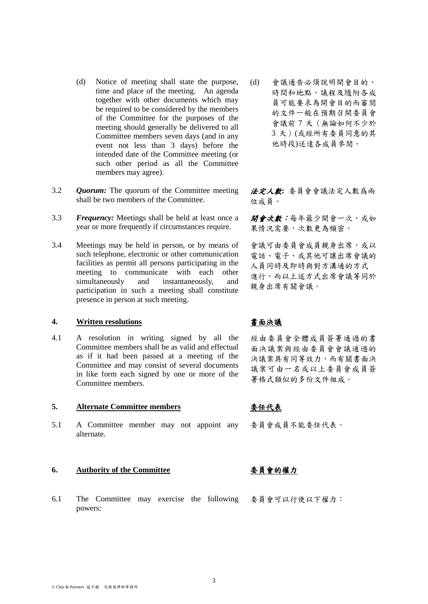- (d) Notice of meeting shall state the purpose, time and place of the meeting. An agenda together with other documents which may be required to be considered by the members of the Committee for the purposes of the meeting should generally be delivered to all Committee members seven days (and in any event not less than 3 days) before the intended date of the Committee meeting (or such other period as all the Committee members may agree).
- 3.2 *Quorum:* The quorum of the Committee meeting shall be two members of the Committee.
- 3.3 *Frequency:* Meetings shall be held at least once a year or more frequently if circumstances require.
- 3.4 Meetings may be held in person, or by means of such telephone, electronic or other communication facilities as permit all persons participating in the meeting to communicate with each other simultaneously and instantaneously, and participation in such a meeting shall constitute presence in person at such meeting.

### **4. Written resolutions** 書面決議

4.1 A resolution in writing signed by all the Committee members shall be as valid and effectual as if it had been passed at a meeting of the Committee and may consist of several documents in like form each signed by one or more of the Committee members.

### **5. Alternate Committee members** 委任代表

5.1 A Committee member may not appoint any alternate.

### **6. Authority of the Committee** 委員會的權力

6.1 The Committee may exercise the following 委員會可以行使以下權力:powers:

(d) 會議通告必須說明開會目的、 時間和地點。議程及隨附各成 員可能要求為開會目的而審閱 的文件一般在預期召開委員會 會議前 7 天(無論如何不少於 3 天)(或經所有委員同意的其 他時段)送達各成員參閱。

法定人數**:** 委員會會議法定人數爲兩 位成員。

開會次數:每年最少開會一次,或如 果情況需要,次數更為頻密。

會議可由委員會成員親身出席,或以 電話、電子、或其他可讓出席會議的 人員同時及即時與對方溝通的方式 進行,而以上述方式出席會議等同於 親身出席有關會議。

經由委員會全體成員簽署通過的書 面決議案與經由委員會會議通過的 決議案具有同等效力,而有關書面決 議案可由一名或以上委員會成員簽 署格式類似的多份文件組成。

委員會成員不能委任代表。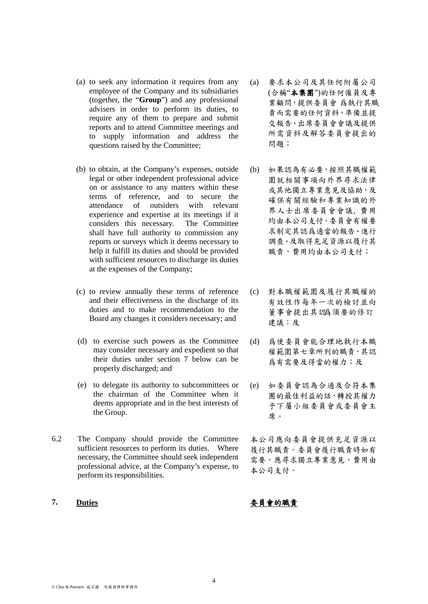- (a) to seek any information it requires from any employee of the Company and its subsidiaries (together, the "**Group**") and any professional advisers in order to perform its duties, to require any of them to prepare and submit reports and to attend Committee meetings and to supply information and address the questions raised by the Committee;
- (b) to obtain, at the Company's expenses, outside legal or other independent professional advice on or assistance to any matters within these terms of reference, and to secure the attendance of outsiders with relevant experience and expertise at its meetings if it considers this necessary. The Committee shall have full authority to commission any reports or surveys which it deems necessary to help it fulfill its duties and should be provided with sufficient resources to discharge its duties at the expenses of the Company;
- (c) to review annually these terms of reference and their effectiveness in the discharge of its duties and to make recommendation to the Board any changes it considers necessary; and
- (d) to exercise such powers as the Committee may consider necessary and expedient so that their duties under section 7 below can be properly discharged; and
- (e) to delegate its authority to subcommittees or the chairman of the Committee when it deems appropriate and in the best interests of the Group.
- 6.2 The Company should provide the Committee sufficient resources to perform its duties. Where necessary, the Committee should seek independent professional advice, at the Company's expense, to perform its responsibilities.

- (a) 要求本公司及其任何附屬公司 (合稱"本集團")的任何僱員及專 業顧問,提供委員會 爲執行其職 責而需要的任何資料,準備並提 交報告、出席委員會會議及提供 所需資料及解答委員會提出的 問題;
- (b) 如果認為有必要,按照其職權範 圍就相關事項向外界尋求法律 或其他獨立專業意見及協助,及 確保有關經驗和專業知識的外 界人士出席委員會會議, 費用 均由本公司支付。委員會有權要 求制定其認爲適當的報告、進行 調查、及取得充足資源以履行其 職責,費用均由本公司支付;
- (c) 對本職權範圍及履行其職權的 有效性作每年一次的檢討並向 董事會提出其認爲須要的修訂 建議;及
- (d) 爲使委員會能合理地執行本職 權範圍第七章所列的職責,其認 爲有需要及得當的權力;及
- (e) 如委員會認為合適及合符本集 團的最佳利益的話,轉授其權力 予下屬小組委員會或委員會主 席。

本公司應向委員會提供充足資源以 履行其職責。委員會履行職責時如有 需要,應尋求獨立專業意見,費用由 本公司支付。

**7. Duties** 委員會的職責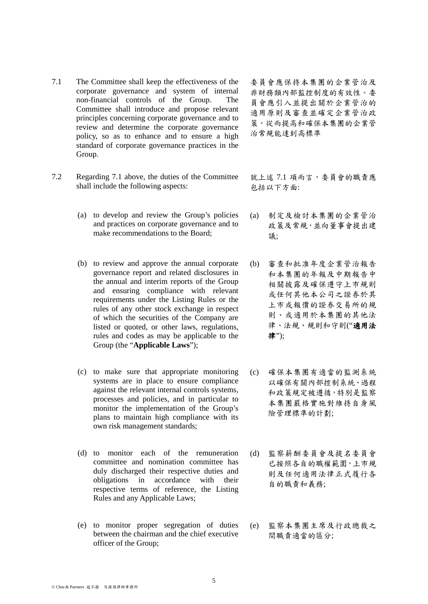- 7.1 The Committee shall keep the effectiveness of the corporate governance and system of internal non-financial controls of the Group. The Committee shall introduce and propose relevant principles concerning corporate governance and to review and determine the corporate governance policy, so as to enhance and to ensure a high standard of corporate governance practices in the Group.
- 7.2 Regarding 7.1 above, the duties of the Committee shall include the following aspects:
	- (a) to develop and review the Group's policies and practices on corporate governance and to make recommendations to the Board;
	- (b) to review and approve the annual corporate governance report and related disclosures in the annual and interim reports of the Group and ensuring compliance with relevant requirements under the Listing Rules or the rules of any other stock exchange in respect of which the securities of the Company are listed or quoted, or other laws, regulations, rules and codes as may be applicable to the Group (the "**Applicable Laws**");
	- (c) to make sure that appropriate monitoring systems are in place to ensure compliance against the relevant internal controls systems, processes and policies, and in particular to monitor the implementation of the Group's plans to maintain high compliance with its own risk management standards;
	- (d) to monitor each of the remuneration committee and nomination committee has duly discharged their respective duties and obligations in accordance with their respective terms of reference, the Listing Rules and any Applicable Laws;
	- (e) to monitor proper segregation of duties between the chairman and the chief executive officer of the Group;

委員會應保持本集團的企業管治及 非財務類內部監控制度的有效性。委 員會應引入並提出關於企業管治的 適用原則及審查並確定企業管治政 策,從而提高和確保本集團的企業管 治常規能達到高標準

就上述 7.1 項而言,委員會的職責應 包括以下方面:

- (a) 制定及檢討本集團的企業管治 政策及常規,並向董事會提出建 議;
- (b) 審查和批准年度企業管治報告 和本集團的年報及中期報告中 相關披露及確保遵守上市規則 或任何其他本公司之證券於其 上市或報價的證券交易所的規 則、或適用於本集團的其他法 律、法規、規則和守則("適用法 律");
- (c) 確保本集團有適當的監測系統 以確保有關內部控制系統、過程 和政策規定被遵循,特別是監察 本集團嚴格實施對維持自身風 險管理標準的計劃;
- (d) 監察薪酬委員會及提名委員會 已按照各自的職權範圍,上市規 則及任何適用法律正式履行各 自的職責和義務;
- (e) 監察本集團主席及行政總裁之 間職責適當的區分;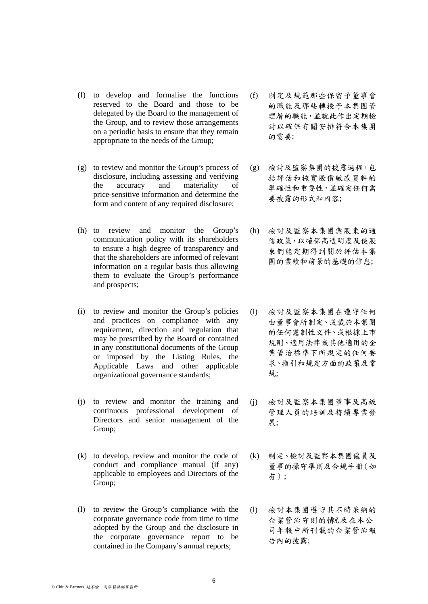- (f) to develop and formalise the functions reserved to the Board and those to be delegated by the Board to the management of the Group, and to review those arrangements on a periodic basis to ensure that they remain appropriate to the needs of the Group;
- (g) to review and monitor the Group's process of disclosure, including assessing and verifying the accuracy and materiality of price-sensitive information and determine the form and content of any required disclosure;
- (h) to review and monitor the Group's communication policy with its shareholders to ensure a high degree of transparency and that the shareholders are informed of relevant information on a regular basis thus allowing them to evaluate the Group's performance and prospects;
- (i) to review and monitor the Group's policies and practices on compliance with any requirement, direction and regulation that may be prescribed by the Board or contained in any constitutional documents of the Group or imposed by the Listing Rules, the Applicable Laws and other applicable organizational governance standards;
- (j) to review and monitor the training and continuous professional development of Directors and senior management of the Group;
- (k) to develop, review and monitor the code of conduct and compliance manual (if any) applicable to employees and Directors of the Group;
- (l) to review the Group's compliance with the corporate governance code from time to time adopted by the Group and the disclosure in the corporate governance report to be contained in the Company's annual reports;
- (f) 制定及規範那些保留予董事會 的職能及那些轉授予本集團管 理層的職能,並就此作出定期檢 討以確保有關安排符合本集團 的需要;
- (g) 檢討及監察集團的披露過程,包 括評估和核實股價敏感資料的 準確性和重要性,並確定任何需 要披露的形式和內容;
- (h) 檢討及監察本集團與股東的通 信政策,以確保高透明度及使股 東們能定期得到關於評估本集 團的業績和前景的基礎的信息;
- (i) 檢討及監察本集團在遵守任何 由董事會所制定、或載於本集團 的任何憲制性文件、或根據上市 規則、適用法律或其他適用的企 業管治標準下所規定的任何要 求、指引和規定方面的政策及常 規;
- (j) 檢討及監察本集團董事及高級 管理人員的培訓及持續專業發 展;
- (k) 制定、檢討及監察本集團僱員及 董事的操守準則及合規手册(如 有);
- (l) 檢討本集團遵守其不時采納的 企業管治守則的情况及在本公 司年報中所刊載的企業管治報 告內的披露;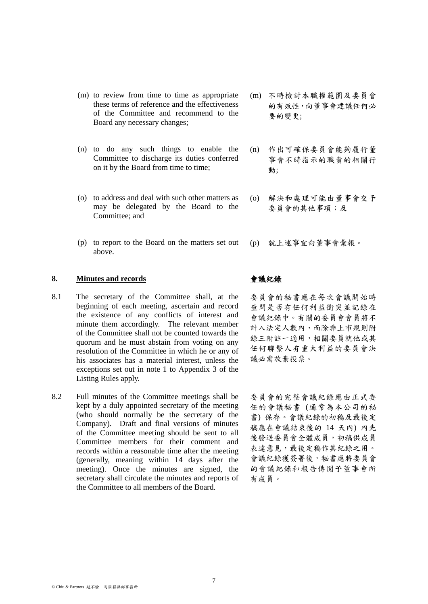- (m) to review from time to time as appropriate these terms of reference and the effectiveness of the Committee and recommend to the Board any necessary changes;
- (n) to do any such things to enable the Committee to discharge its duties conferred on it by the Board from time to time;
- (o) to address and deal with such other matters as may be delegated by the Board to the Committee; and
- (p) to report to the Board on the matters set out above.

### **8. Minutes and records** 會議紀錄

- 8.1 The secretary of the Committee shall, at the beginning of each meeting, ascertain and record the existence of any conflicts of interest and minute them accordingly. The relevant member of the Committee shall not be counted towards the quorum and he must abstain from voting on any resolution of the Committee in which he or any of his associates has a material interest, unless the exceptions set out in note 1 to Appendix 3 of the Listing Rules apply.
- 8.2 Full minutes of the Committee meetings shall be kept by a duly appointed secretary of the meeting (who should normally be the secretary of the Company). Draft and final versions of minutes of the Committee meeting should be sent to all Committee members for their comment and records within a reasonable time after the meeting (generally, meaning within 14 days after the meeting). Once the minutes are signed, the secretary shall circulate the minutes and reports of the Committee to all members of the Board.
- (m) 不時檢討本職權範圍及委員會 的有效性,向董事會建議任何必 要的變更;
- (n) 作出可確保委員會能夠履行董 事會不時指示的職責的相關行 動;
- (o) 解決和處理可能由董事會交予 委員會的其他事項;及
- (p) 就上述事宜向董事會彙報。

委員會的秘書應在每次會議開始時 查問是否有任何利益衝突並記錄在 會議紀錄中。有關的委員會會員將不 計入法定人數內、而除非上市規則附 錄三附註一適用,相關委員就他或其 任何聯繫人有重大利益的委員會決 議必需放棄投票。

委員會的完整會議紀錄應由正式委 任的會議秘書 (通常為本公司的秘 書) 保存。會議紀錄的初稿及最後定 稿應在會議結束後的 14 天內) 內先 後發送委員會全體成員,初稿供成員 表達意見,最後定稿作其紀錄之用。 會議紀錄獲簽署後,秘書應將委員會 的會議紀錄和報告傳閱予董事會所 有成員。